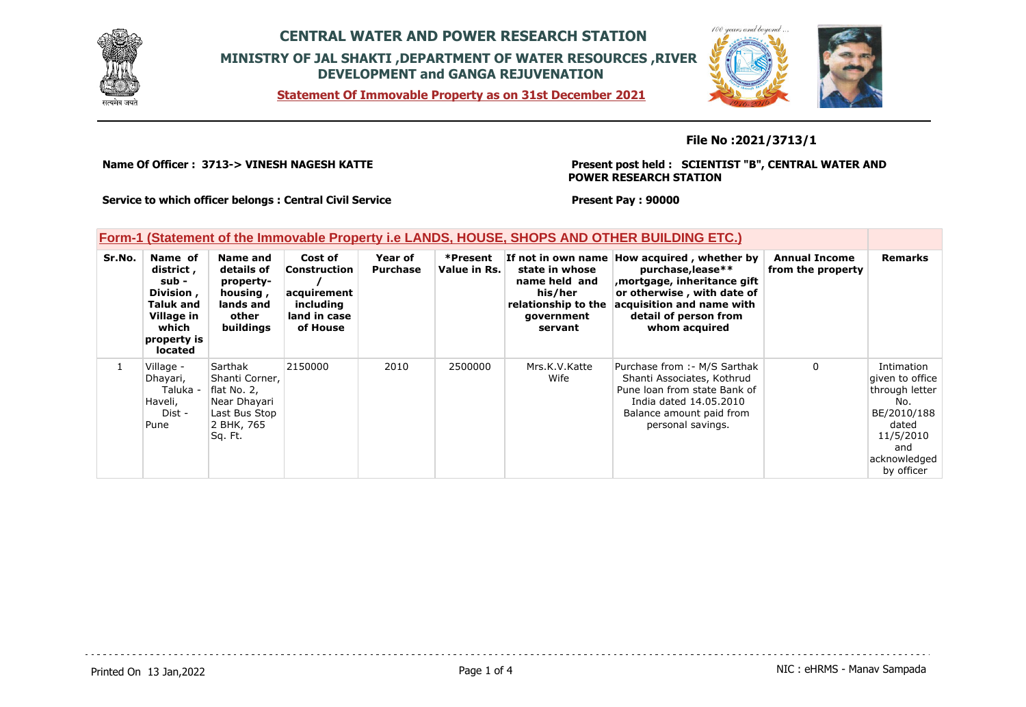





### **File No :2021/3713/1**

**Name Of Officer : 3713-> VINESH NAGESH KATTE** 

#### **Present post held : SCIENTIST "B", CENTRAL WATER AND POWER RESEARCH STATION**

 $100$ 

**Service to which officer belongs : Central Civil Service**

**Present Pay : 90000**

### **Form-1 (Statement of the Immovable Property i.e LANDS, HOUSE, SHOPS AND OTHER BUILDING ETC.)**

| Sr.No. | Name of<br>district,<br>sub -<br>Division,<br><b>Taluk and</b><br>Village in<br>which<br>property is<br><b>located</b> | Name and<br>details of<br>property-<br>housing,<br>lands and<br>other<br>buildings                 | Cost of<br><b>Construction</b><br>acquirement<br>including<br>land in case<br>of House | Year of<br><b>Purchase</b> | *Present<br>Value in Rs. | state in whose<br>name held and<br>his/her<br>relationship to the<br>qovernment<br>servant | If not in own name How acquired, whether by<br>purchase, lease**<br>mortgage, inheritance gift<br>or otherwise, with date of<br>acquisition and name with<br>detail of person from<br>whom acquired | <b>Annual Income</b><br>from the property | <b>Remarks</b>                                                                                                                   |
|--------|------------------------------------------------------------------------------------------------------------------------|----------------------------------------------------------------------------------------------------|----------------------------------------------------------------------------------------|----------------------------|--------------------------|--------------------------------------------------------------------------------------------|-----------------------------------------------------------------------------------------------------------------------------------------------------------------------------------------------------|-------------------------------------------|----------------------------------------------------------------------------------------------------------------------------------|
|        | Village -<br>Dhayari,<br>Taluka -<br>Haveli,<br>Dist -<br>Pune                                                         | Sarthak<br>Shanti Corner,<br>flat No. 2,<br>Near Dhayari<br>Last Bus Stop<br>2 BHK, 765<br>Sq. Ft. | 2150000                                                                                | 2010                       | 2500000                  | Mrs.K.V.Katte<br>Wife                                                                      | Purchase from :- M/S Sarthak<br>Shanti Associates, Kothrud<br>Pune loan from state Bank of<br>India dated 14.05.2010<br>Balance amount paid from<br>personal savings.                               | 0                                         | Intimation<br>given to office<br>through letter<br>No.<br>BE/2010/188<br>dated<br>11/5/2010<br>and<br>acknowledged<br>by officer |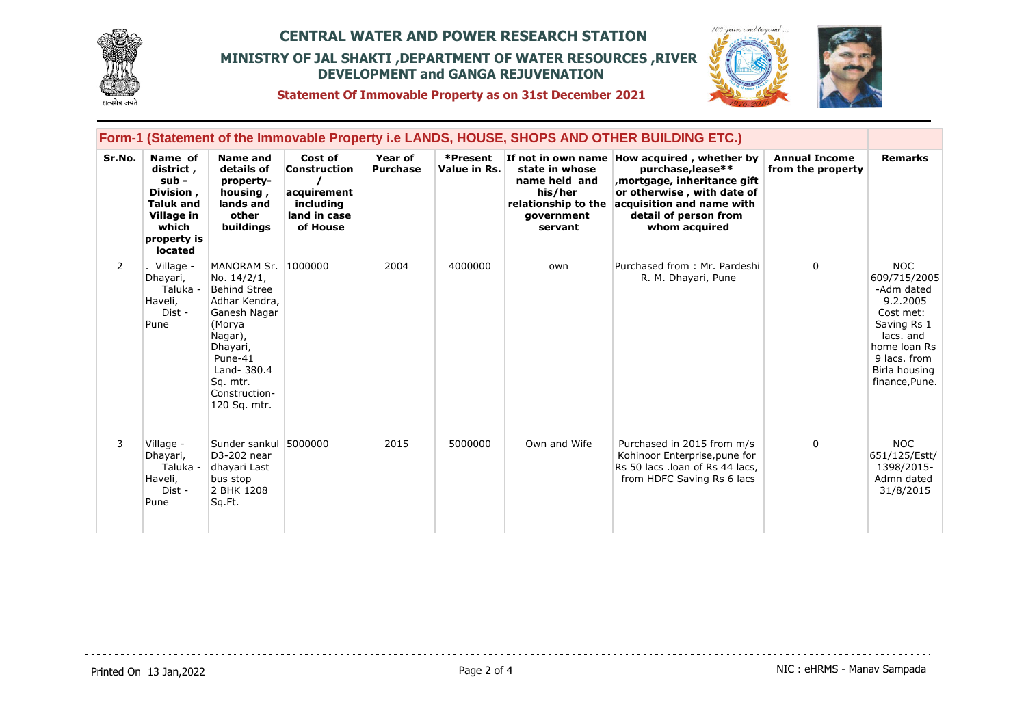



**Statement Of Immovable Property as on 31st December 2021**

|                | <b>Form-1 (Statement of the Immovable Property i.e LANDS, HOUSE, SHOPS AND OTHER BUILDING ETC.)</b>             |                                                                                                                                                                                            |                                                                                        |                            |                          |                                                                                            |                                                                                                                                                                                                      |                                           |                                                                                                                                                                  |
|----------------|-----------------------------------------------------------------------------------------------------------------|--------------------------------------------------------------------------------------------------------------------------------------------------------------------------------------------|----------------------------------------------------------------------------------------|----------------------------|--------------------------|--------------------------------------------------------------------------------------------|------------------------------------------------------------------------------------------------------------------------------------------------------------------------------------------------------|-------------------------------------------|------------------------------------------------------------------------------------------------------------------------------------------------------------------|
| Sr.No.         | Name of<br>district,<br>sub -<br>Division,<br><b>Taluk and</b><br>Village in<br>which<br>property is<br>located | Name and<br>details of<br>property-<br>housing,<br>lands and<br>other<br>buildings                                                                                                         | Cost of<br><b>Construction</b><br>acquirement<br>including<br>land in case<br>of House | Year of<br><b>Purchase</b> | *Present<br>Value in Rs. | state in whose<br>name held and<br>his/her<br>relationship to the<br>government<br>servant | If not in own name How acquired, whether by<br>purchase, lease**<br>mortgage, inheritance gift,<br>or otherwise, with date of<br>acquisition and name with<br>detail of person from<br>whom acquired | <b>Annual Income</b><br>from the property | <b>Remarks</b>                                                                                                                                                   |
| $\overline{2}$ | Village -<br>Dhayari,<br>Taluka -<br>Haveli,<br>Dist -<br>Pune                                                  | MANORAM Sr.<br>No. 14/2/1,<br><b>Behind Stree</b><br>Adhar Kendra,<br>Ganesh Nagar<br>(Morya<br>Nagar),<br>Dhayari,<br>Pune-41<br>Land- 380.4<br>Sq. mtr.<br>Construction-<br>120 Sq. mtr. | 1000000                                                                                | 2004                       | 4000000                  | own                                                                                        | Purchased from: Mr. Pardeshi<br>R. M. Dhayari, Pune                                                                                                                                                  | $\Omega$                                  | <b>NOC</b><br>609/715/2005<br>-Adm dated<br>9.2.2005<br>Cost met:<br>Saving Rs 1<br>lacs, and<br>home loan Rs<br>9 lacs, from<br>Birla housing<br>finance, Pune. |
| 3              | Village -<br>Dhayari,<br>Taluka -<br>Haveli,<br>Dist -<br>Pune                                                  | Sunder sankul<br>D3-202 near<br>dhayari Last<br>bus stop<br>2 BHK 1208<br>Sq.Ft.                                                                                                           | 5000000                                                                                | 2015                       | 5000000                  | Own and Wife                                                                               | Purchased in 2015 from m/s<br>Kohinoor Enterprise, pune for<br>Rs 50 lacs .loan of Rs 44 lacs,<br>from HDFC Saving Rs 6 lacs                                                                         | $\Omega$                                  | <b>NOC</b><br>651/125/Estt/<br>1398/2015-<br>Admn dated<br>31/8/2015                                                                                             |

<u>. . . . . . . . . .</u>

. . . . . . . . . . . . . . . . . . .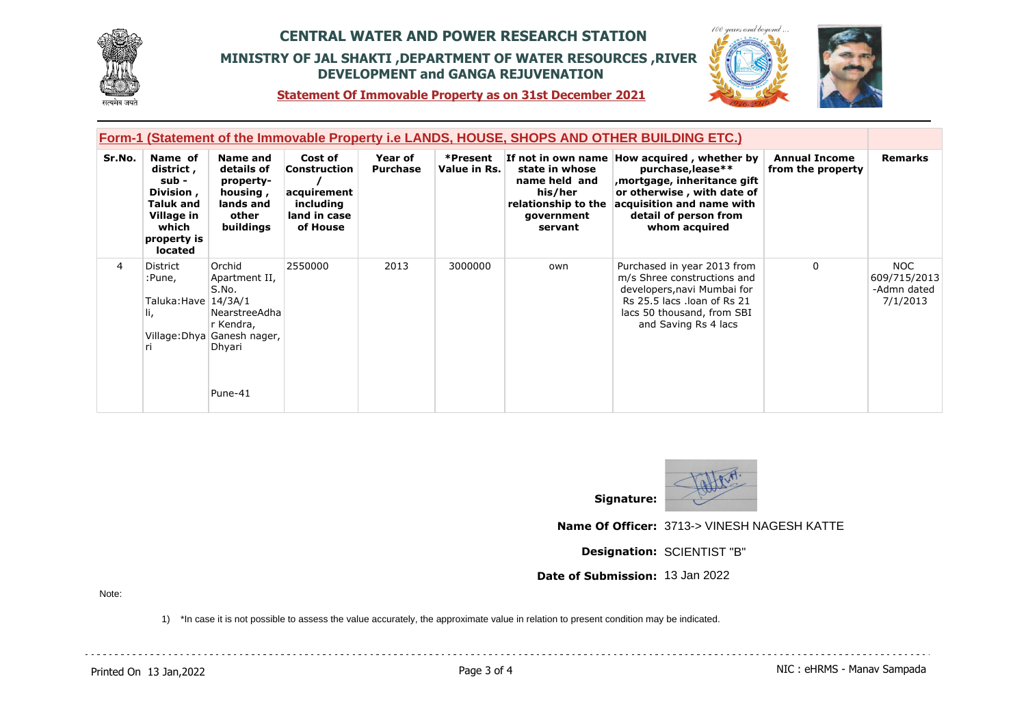



**Statement Of Immovable Property as on 31st December 2021**

| Form-1 (Statement of the Immovable Property i.e LANDS, HOUSE, SHOPS AND OTHER BUILDING ETC.) |                                                                                                          |                                                                                                                    |                                                                                 |                            |                          |                                                                                            |                                                                                                                                                                                                       |                                           |                                                |
|----------------------------------------------------------------------------------------------|----------------------------------------------------------------------------------------------------------|--------------------------------------------------------------------------------------------------------------------|---------------------------------------------------------------------------------|----------------------------|--------------------------|--------------------------------------------------------------------------------------------|-------------------------------------------------------------------------------------------------------------------------------------------------------------------------------------------------------|-------------------------------------------|------------------------------------------------|
| Sr.No.                                                                                       | Name of<br>district,<br>sub -<br>Division,<br>Taluk and<br>Village in<br>which<br>property is<br>located | Name and<br>details of<br>property-<br>housing,<br>lands and<br>other<br>buildings                                 | Cost of<br>Construction<br>acquirement<br>including<br>land in case<br>of House | Year of<br><b>Purchase</b> | *Present<br>Value in Rs. | state in whose<br>name held and<br>his/her<br>relationship to the<br>government<br>servant | If not in own name How acquired, whether by<br>purchase, lease**<br>, mortgage, inheritance gift<br>or otherwise, with date of<br>acquisition and name with<br>detail of person from<br>whom acquired | <b>Annual Income</b><br>from the property | <b>Remarks</b>                                 |
| 4                                                                                            | District<br>:Pune,<br>Taluka:Have   14/3A/1<br>Ш,<br>ri.                                                 | Orchid<br>Apartment II,<br>S.No.<br>NearstreeAdha<br>r Kendra,<br>Village: Dhya Ganesh nager,<br>Dhyari<br>Pune-41 | 2550000                                                                         | 2013                       | 3000000                  | own                                                                                        | Purchased in year 2013 from<br>m/s Shree constructions and<br>developers, navi Mumbai for<br>Rs 25.5 lacs .loan of Rs 21<br>lacs 50 thousand, from SBI<br>and Saving Rs 4 lacs                        | $\mathbf{0}$                              | NOC<br>609/715/2013<br>-Admn dated<br>7/1/2013 |



**Name Of Officer:** 3713-> VINESH NAGESH KATTE

**Designation:** SCIENTIST "B"

**Date of Submission:** 13 Jan 2022

Note:

1) \*In case it is not possible to assess the value accurately, the approximate value in relation to present condition may be indicated.